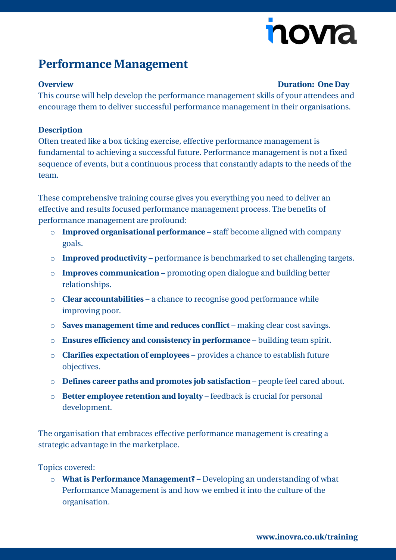# novia

### **Performance Management**

#### **Overview Duration: One Day**

This course will help develop the performance management skills of your attendees and encourage them to deliver successful performance management in their organisations.

#### **Description**

Often treated like a box ticking exercise, effective performance management is fundamental to achieving a successful future. Performance management is not a fixed sequence of events, but a continuous process that constantly adapts to the needs of the team.

These comprehensive training course gives you everything you need to deliver an effective and results focused performance management process. The benefits of performance management are profound:

- o **Improved organisational performance** staff become aligned with company goals.
- o **Improved productivity** performance is benchmarked to set challenging targets.
- o **Improves communication** promoting open dialogue and building better relationships.
- o **Clear accountabilities** a chance to recognise good performance while improving poor.
- o **Saves management time and reduces conflict** making clear cost savings.
- o **Ensures efficiency and consistency in performance** building team spirit.
- o **Clarifies expectation of employees** provides a chance to establish future objectives.
- o **Defines career paths and promotes job satisfaction** people feel cared about.
- o **Better employee retention and loyalty** feedback is crucial for personal development.

The organisation that embraces effective performance management is creating a strategic advantage in the marketplace.

#### Topics covered:

o **What is Performance Management?** – Developing an understanding of what Performance Management is and how we embed it into the culture of the organisation.